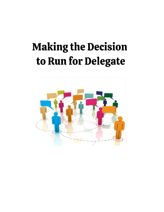# **Making the Decision** to Run for Delegate

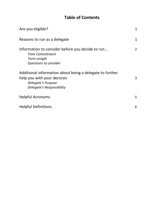## **Table of Contents**

| Are you eligible?                                                                                                                          | 1              |
|--------------------------------------------------------------------------------------------------------------------------------------------|----------------|
| Reasons to run as a delegate                                                                                                               | $\mathbf 1$    |
| Information to consider before you decide to run<br><b>Time Commitment</b><br>Term Length<br>Questions to consider                         | $\overline{2}$ |
| Additional information about being a delegate to further<br>help you with your decision<br>Delegate's Purpose<br>Delegate's Responsibility | 3              |
| <b>Helpful Acronyms</b>                                                                                                                    | 5              |
| <b>Helpful Definitions</b>                                                                                                                 | 6              |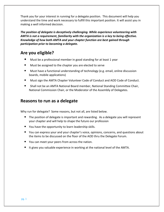Thank you for your interest in running for a delegate position. This document will help you understand the time and work necessary to fulfill this important position. It will assist you in making a well informed decision.

*The position of delegate is deceptively challenging. While experience volunteering with AMTA is not a requirement, familiarity with the organization is a key to being effective. Knowledge of how both AMTA and your chapter function are best gained through participation prior to becoming a delegate.*

## **Are you eligible?**

- Must be a professional member in good standing for at least 1 year
- Must be assigned to the chapter you are elected to serve
- Must have a functional understanding of technology (e.g. email, online discussion boards, mobile applications)
- Must sign the AMTA Chapter Volunteer Code of Conduct and AOD Code of Conduct.
- Shall not be an AMTA National Board member, National Standing Committee Chair, National Commission Chair, or the Moderator of the Assembly of Delegates.

## **Reasons to run as a delegate**

Why run for delegate? Some reasons, but not all, are listed below.

- The position of delegate is important and rewarding. As a delegate you will represent your chapter and will help to shape the future our profession
- You have the opportunity to learn leadership skills.
- You can express your and your chapter's voice, opinions, concerns, and questions about the items to be discussed on the floor of the AOD thru the Delegate Forum.
- You can meet your peers from across the nation.
- It gives you valuable experience in working at the national level of the AMTA.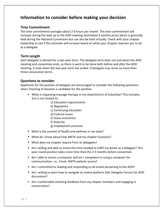## **Information to consider before making your decision**

#### **Time Commitment**

The time commitment averages about 2-6 hours per month. The time commitment will increase during the lead up to the AOD meeting (estimated 3 months prior) which is generally held during the National Convention but can also be held virtually. Check with your chapter leadership to see if this estimate will increase based on what your chapter requires you to do as a delegate.

#### **Term Length**

Each delegate is elected for a two-year term. The delegate term does not end when the AOD meeting and convention ends, as there is work to be done both before and after the AOD meeting. It ends when the two year term has ended. A Delegate may serve no more than three consecutive terms.

#### **Questions to consider**

Applicants for the position of delegate are encouraged to consider the following questions when choosing to become a candidate for the position.

- What is impacting massage therapy in my state/District of Columbia? This includes, but is not limited to:
	- a) Education requirements
	- b) Regulation
	- c) Continuing education
	- d) Cultural issues
	- e) Socio-economics
	- f) Diversity
	- g) Employment practices
- What is the context of health and wellness in my state?
- What do I know about how AMTA and my chapter functions?
- What does my chapter require from its delegates?
- Am I willing and able to invest the time needed to fulfill my duties as a delegate? This year-round position takes more time than the 2-3 months before convention.
- Am I able to access a computer and am I competent in using a computer for communication: i.e., Email, AMTA website access?
- Am I committed to reading and responding to all emails pertaining to the AOD?
- Am I willing to learn how to navigate an online platform (the Delegate Forum) for AOD discussions?
- Am I comfortable soliciting feedback from my chapter members and engaging in conversation?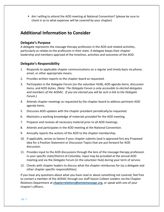Am I willing to attend the AOD meeting at National Convention? (please be sure to check in as to what expenses will be covered by your chapter)

## **Additional Information to Consider**

#### **Delegate's Purpose**

A delegate represents the massage therapy profession in the AOD and related activities, particularly as relates to the profession in their state. A delegate keeps their chapter leadership and members apprised of the timelines, activities and outcomes of the AOD.

#### **Delegate's Responsibility**

- 1. Responds to applicable chapter communications on a regular and timely basis via phone, email, or other appropriate means.
- 2. Provides written reports to the chapter board as requested.
- 3. Participates in the Delegate Forum (on the volunteer HUB), AOD agenda items, discussion items, and AOD duties. *(Note: The Delegate Forum is only accessible to elected delegates and members of the AODAC. If you are elected you will be sent a link to the Delegate Forum.)*
- 4. Attends chapter meetings as requested by the chapter board to address pertinent AOD agenda items.
- 5. Discusses AOD updates with the chapter president periodically/as requested.
- 6. Maintains a working knowledge of materials provided for the AOD meeting.
- 7. Prepares and reviews all necessary material prior to all AOD meetings.
- 8. Attends and participates in the AOD meeting at the National Convention.
- 9. Annually reports the actions of the AOD to the chapter membership.
- 10. If applicable, serves as liaison if your chapter submits (and is approved for) any Proposed Idea for a Position Statement or Discussion Topics that are put forward for AOD discussion.
- 11. Provides input to the AOD discussions through the lens of the massage therapy profession in your specific state/District of Columbia. Input may be provided at the annual AOD meeting and via the Delegate Forum (in the volunteer Hub) during your term of service.
- 12. Checks with chapter leaders to discuss what the chapter reimburses for (as a delegate and other chapter specific responsibilities).

If you have any questions about what you have read or about something not covered, feel free to contact a member of the AODAC through our staff liaison Colleen Leeders via the Chapter Relations Department at *[chapterrelations@amtamassage.org](mailto:chapterrelations@amtamassage.org)*, or speak with one of your chapter's officers.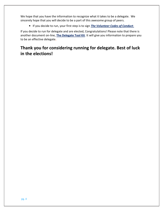We hope that you have the information to recognize what it takes to be a delegate. We sincerely hope that you will decide to be a part of this awesome group of peers.

■ If you decide to run, your first step is to sign **[The Volunteer Codes of Conduct](https://www.amtamassage.org/chapters/codes-of-conduct/delegate/)**.

If you decide to run for delegate and are elected, Congratulations! Please note that there is another document on-line, **[The Delegate Tool Kit](https://www.amtamassage.org/chapters/assembly-of-delegates/)**. It will give you information to prepare you to be an effective delegate**.**

## **Thank you for considering running for delegate. Best of luck in the elections!**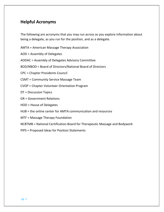## **Helpful Acronyms**

The following are acronyms that you may run across as you explore information about being a delegate, as you run for the position, and as a delegate.

AMTA = American Massage Therapy Association

AOD = Assembly of Delegates

AODAC = Assembly of Delegates Advisory Committee

BOD/NBOD = Board of Directors/National Board of Directors

CPC = Chapter Presidents Council

CSMT = Community Service Massage Team

CVOP = Chapter Volunteer Orientation Program

DT = Discussion Topics

GR = Government Relations

HOD = House of Delegates

- HUB = the online center for AMTA communication and resources
- MTF = Massage Therapy Foundation

NCBTMB = National Certification Board for Therapeutic Massage and Bodywork

PIPS = Proposed Ideas for Position Statements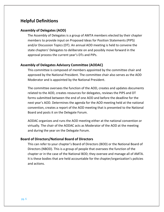### **Helpful Definitions**

#### **Assembly of Delegates (AOD)**

The Assembly of Delegates is a group of AMTA members elected by their chapter members to provide input on Proposed Ideas for Position Statements (PIPS) and/or Discussion Topics (DT). An annual AOD meeting is held to convene the state chapters' Delegates to deliberate on and possibly move forward in the approval process the current year's DTs and PIPs.

#### **Assembly of Delegates Advisory Committee (AODAC)**

This committee is composed of members appointed by the committee chair and approved by the National President. The committee chair also serves as the AOD Moderator and is appointed by the National President.

The committee oversees the function of the AOD, creates and updates documents related to the AOD, creates resources for delegates, reviews the PIPS and DT forms submitted between the end of one AOD and before the deadline for the next year's AOD. Determines the agenda for the AOD meeting held at the national convention, creates a report of the AOD meeting that is presented to the National Board and posts it on the Delegate Forum.

AODAC organizes and runs the AOD meeting either at the national convention or virtually. The chair of the AODAC acts as Moderator of the AOD at the meeting and during the year on the Delegate Forum.

#### **Board of Directors/National Board of Directors**

This can refer to your chapter's Board of Directors (BOD) or the National Board of Directors (NBOD). This is a group of people that oversees the function of the chapter or in the case of the National BOD; they oversee and manage all of AMTA. It is these bodies that are held accountable for the chapter/organization's policies and actions.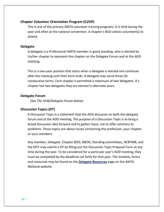#### **Chapter Volunteer Orientation Program (CVOP)**

This is one of the primary AMTA volunteer training programs. It is held during the year and often at the national convention. A chapter's BOD selects volunteer(s) to attend.

#### **Delegate**

A delegate is a Professional AMTA member in good standing, who is elected by his/her chapter to represent the chapter on the Delegate Forum and at the AOD meeting.

This is a two-year position that starts when a delegate is elected and continues after the meeting until their term ends. A delegate may serve three (3) consecutive terms. Each chapter is permitted a maximum of two delegates. If a chapter has two delegates they are elected in alternate years.

#### **Delegate Forum**

*(See The HUB/Delegate Forum below)*

#### **Discussion Topics (DT)**

A Discussion Topic is a statement that the AOD discusses on both the delegate forum and at the AOD meeting. The purpose of a Discussion Topic is to bring a broad discussion idea forward and to gather input, not to offer solutions to problems. These topics are about issues concerning the profession, your chapter, or your members.

Any member, Delegate, Chapter BOD, NBOD, Standing committees, NCBTMB, and the MTF may submit a DT by filling out the Discussion Topic Proposal Form at any time during the year. To be considered for a particular year's AOD meeting, they must be completed by the deadlines set forth for that year. The timeline, forms and resources may be found on the **[Delegate Resources](https://www.amtamassage.org/chapters/assembly-of-delegates/)** page on the AMTA National website.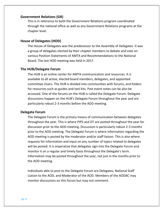#### **Government Relations (GR)**

This is in reference to both the Government Relations program coordinated through the national office as well as any Government Relations programs at the chapter level.

#### **House of Delegates (HOD)**

The House of Delegates was the predecessor to the Assembly of Delegates. It was a group of delegates elected by their chapter members to debate and vote on various Position Statements of AMTA and Recommendations to the National Board. The last HOD meeting was held in 2017.

#### **The HUB/Delegate Forum**

The HUB is an online center for AMTA communication and resources. It is available to all active, elected board members, delegates, and appointed committee chairs. The HUB is divided into communities with forums, and folders for resources such as guides and tool kits. Past event notes can be also be accessed. One of the forums on the HUB is called the Delegate Forum. Delegate discussions happen on the HUB's Delegate Forum throughout the year and are particularly robust 2-3 months before the AOD meeting.

#### **Delegate Forum**

The Delegate Forum is the primary means of communication between delegates throughout the year. This is where PIPS and DT are posted throughout the year for discussion prior to the AOD meeting. Discussion is particularly robust 2-3 months prior to the AOD meeting. The Delegate Forum is where information regarding the AOD meeting is posted by the moderator and/or staff liaison. This is also where requests for information and input on any number of topics related to delegates will be posted. It is imperative that delegates sign into the Delegate Forum and monitor it on a regular and timely basis throughout the Delegate's term. Information may be posted throughout the year, not just in the months prior to the AOD meeting.

Individuals able to post to the Delegate Forum are Delegates, National Staff Liaison to the AOD, and Moderator of the AOD. Members of the AODAC may monitor discussions on this forum but may not comment.